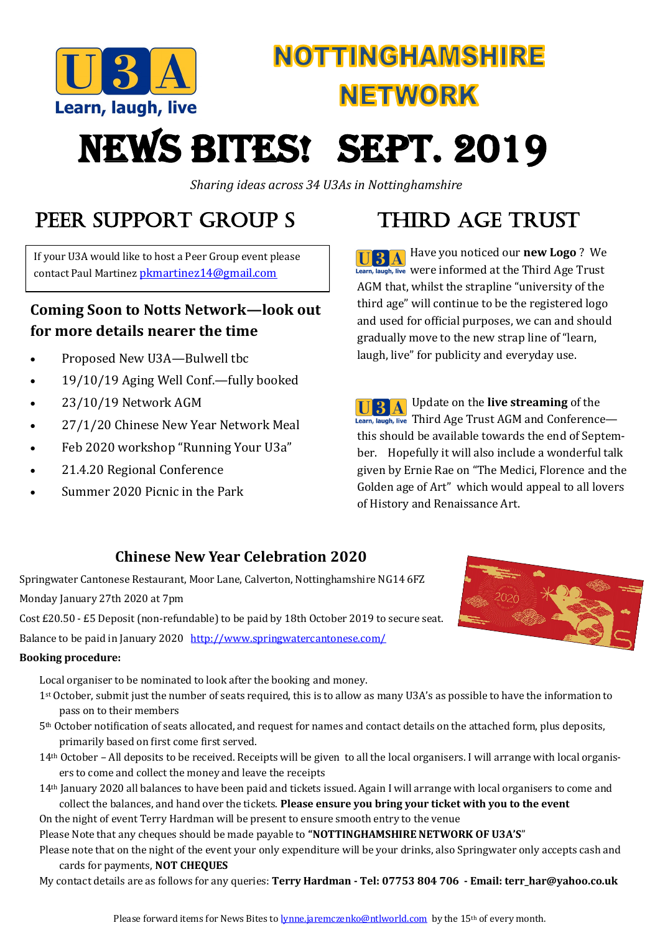

## **NOTTINGHAMSHIRE NETWORK**

# **NEWS BITES! SEPT. 2019**

*Sharing ideas across 34 U3As in Nottinghamshire*

### Peer SUPPORT Group s

If your U3A would like to host a Peer Group event please contact Paul Martinez [pkmartinez14@gmail.com](mailto:pkmartinez14@gmail.com)

#### **Coming Soon to Notts Network—look out for more details nearer the time**

- Proposed New U3A—Bulwell thc
- 19/10/19 Aging Well Conf.—fully booked
- 23/10/19 Network AGM
- 27/1/20 Chinese New Year Network Meal
- Feb 2020 workshop "Running Your U3a"
- 21.4.20 Regional Conference
- Summer 2020 Picnic in the Park

## THIRD AGE TRUST

Have you noticed our **new Logo** ? We Learn, laugh, live Were informed at the Third Age Trust AGM that, whilst the strapline "university of the third age" will continue to be the registered logo and used for official purposes, we can and should gradually move to the new strap line of "learn, laugh, live" for publicity and everyday use.

**UPD**  $\bf{A}$  Update on the **live streaming** of the Learn, laugh, live Third Age Trust  $AGM$  and Conference this should be available towards the end of September. Hopefully it will also include a wonderful talk given by Ernie Rae on "The Medici, Florence and the Golden age of Art" which would appeal to all lovers of History and Renaissance Art.

#### **Chinese New Year Celebration 2020**

Springwater Cantonese Restaurant, Moor Lane, Calverton, Nottinghamshire NG14 6FZ Monday January 27th 2020 at 7pm

Cost £20.50 - £5 Deposit (non-refundable) to be paid by 18th October 2019 to secure seat.

Balance to be paid in January 2020 <http://www.springwatercantonese.com/>

#### **Booking procedure:**

Local organiser to be nominated to look after the booking and money.

- 1st October, submit just the number of seats required, this is to allow as many U3A's as possible to have the information to pass on to their members
- 5th October notification of seats allocated, and request for names and contact details on the attached form, plus deposits, primarily based on first come first served.
- 14th October All deposits to be received. Receipts will be given to all the local organisers. I will arrange with local organisers to come and collect the money and leave the receipts
- 14th January 2020 all balances to have been paid and tickets issued. Again I will arrange with local organisers to come and collect the balances, and hand over the tickets. **Please ensure you bring your ticket with you to the event** On the night of event Terry Hardman will be present to ensure smooth entry to the venue

Please Note that any cheques should be made payable to **"NOTTINGHAMSHIRE NETWORK OF U3A'S**"

Please note that on the night of the event your only expenditure will be your drinks, also Springwater only accepts cash and cards for payments, **NOT CHEQUES**

My contact details are as follows for any queries: **Terry Hardman - Tel: 07753 804 706 - Email: terr\_har@yahoo.co.uk**